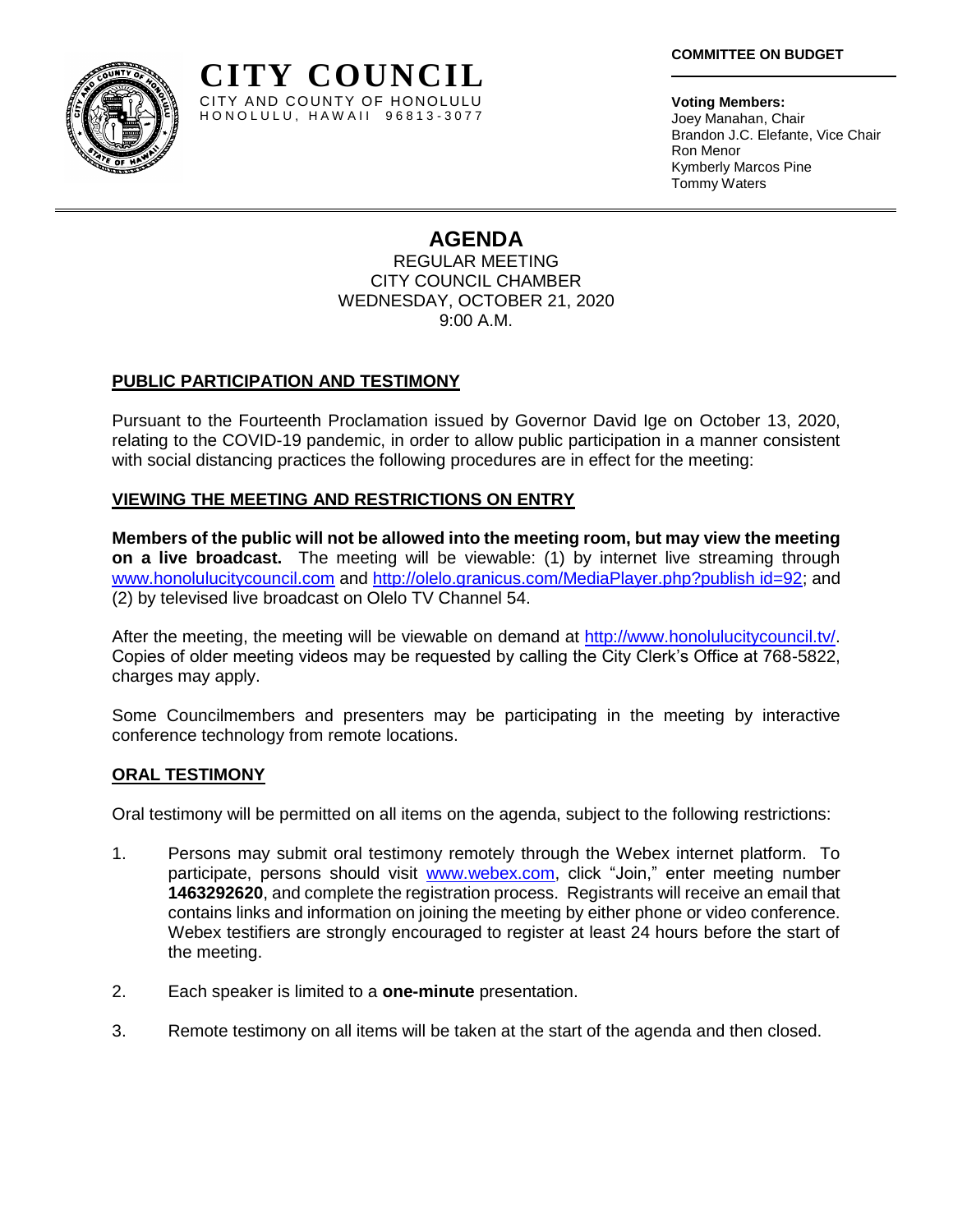

**Voting Members:** Joey Manahan, Chair Brandon J.C. Elefante, Vice Chair Ron Menor Kymberly Marcos Pine Tommy Waters

# **AGENDA**

REGULAR MEETING CITY COUNCIL CHAMBER WEDNESDAY, OCTOBER 21, 2020 9:00 A.M.

## **PUBLIC PARTICIPATION AND TESTIMONY**

Pursuant to the Fourteenth Proclamation issued by Governor David Ige on October 13, 2020, relating to the COVID-19 pandemic, in order to allow public participation in a manner consistent with social distancing practices the following procedures are in effect for the meeting:

## **VIEWING THE MEETING AND RESTRICTIONS ON ENTRY**

**Members of the public will not be allowed into the meeting room, but may view the meeting on a live broadcast.** The meeting will be viewable: (1) by internet live streaming through [www.honolulucitycouncil.com](http://www.honolulucitycouncil.com/) and [http://olelo.granicus.com/MediaPlayer.php?publish id=92;](http://olelo.granicus.com/MediaPlayer.php?publish%20id=92) and (2) by televised live broadcast on Olelo TV Channel 54.

After the meeting, the meeting will be viewable on demand at [http://www.honolulucitycouncil.tv/.](http://www.honolulucitycouncil.tv/) Copies of older meeting videos may be requested by calling the City Clerk's Office at 768-5822, charges may apply.

Some Councilmembers and presenters may be participating in the meeting by interactive conference technology from remote locations.

#### **ORAL TESTIMONY**

Oral testimony will be permitted on all items on the agenda, subject to the following restrictions:

- 1. Persons may submit oral testimony remotely through the Webex internet platform. To participate, persons should visit [www.webex.com,](http://www.webex.com/) click "Join," enter meeting number **1463292620**, and complete the registration process. Registrants will receive an email that contains links and information on joining the meeting by either phone or video conference. Webex testifiers are strongly encouraged to register at least 24 hours before the start of the meeting.
- 2. Each speaker is limited to a **one-minute** presentation.
- 3. Remote testimony on all items will be taken at the start of the agenda and then closed.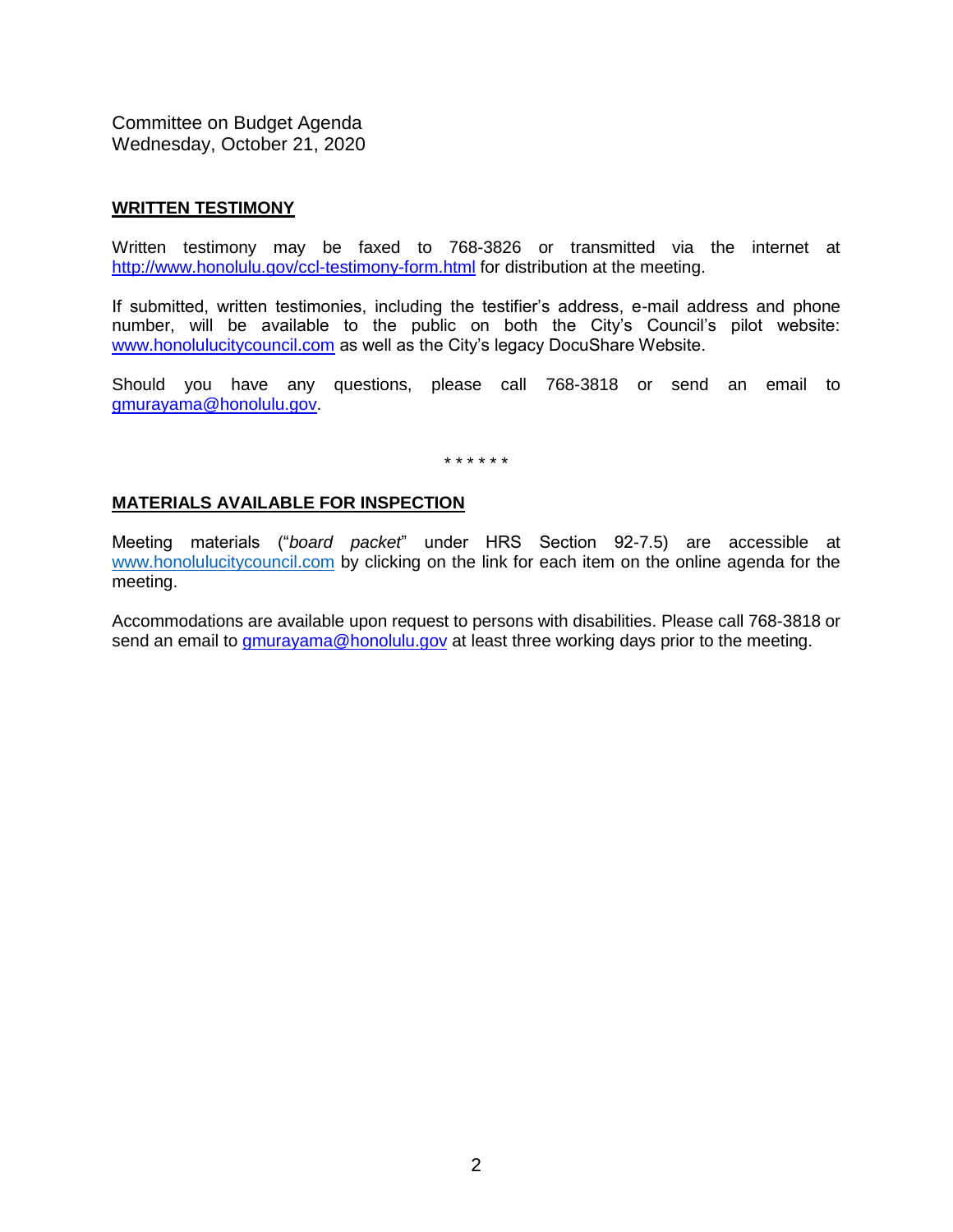#### **WRITTEN TESTIMONY**

Written testimony may be faxed to 768-3826 or transmitted via the internet at <http://www.honolulu.gov/ccl-testimony-form.html> for distribution at the meeting.

If submitted, written testimonies, including the testifier's address, e-mail address and phone number, will be available to the public on both the City's Council's pilot website: [www.honolulucitycouncil.com](http://www.honolulucitycouncil.com/) as well as the City's legacy DocuShare Website.

Should you have any questions, please call 768-3818 or send an email to [gmurayama@honolulu.gov.](mailto:gmurayama@honolulu.gov)

\* \* \* \* \* \*

#### **MATERIALS AVAILABLE FOR INSPECTION**

Meeting materials ("*board packet*" under HRS Section 92-7.5) are accessible at [www.honolulucitycouncil.com](http://www.honolulucitycouncil.com/) by clicking on the link for each item on the online agenda for the meeting.

Accommodations are available upon request to persons with disabilities. Please call 768-3818 or send an email to **gmurayama@honolulu.gov** at least three working days prior to the meeting.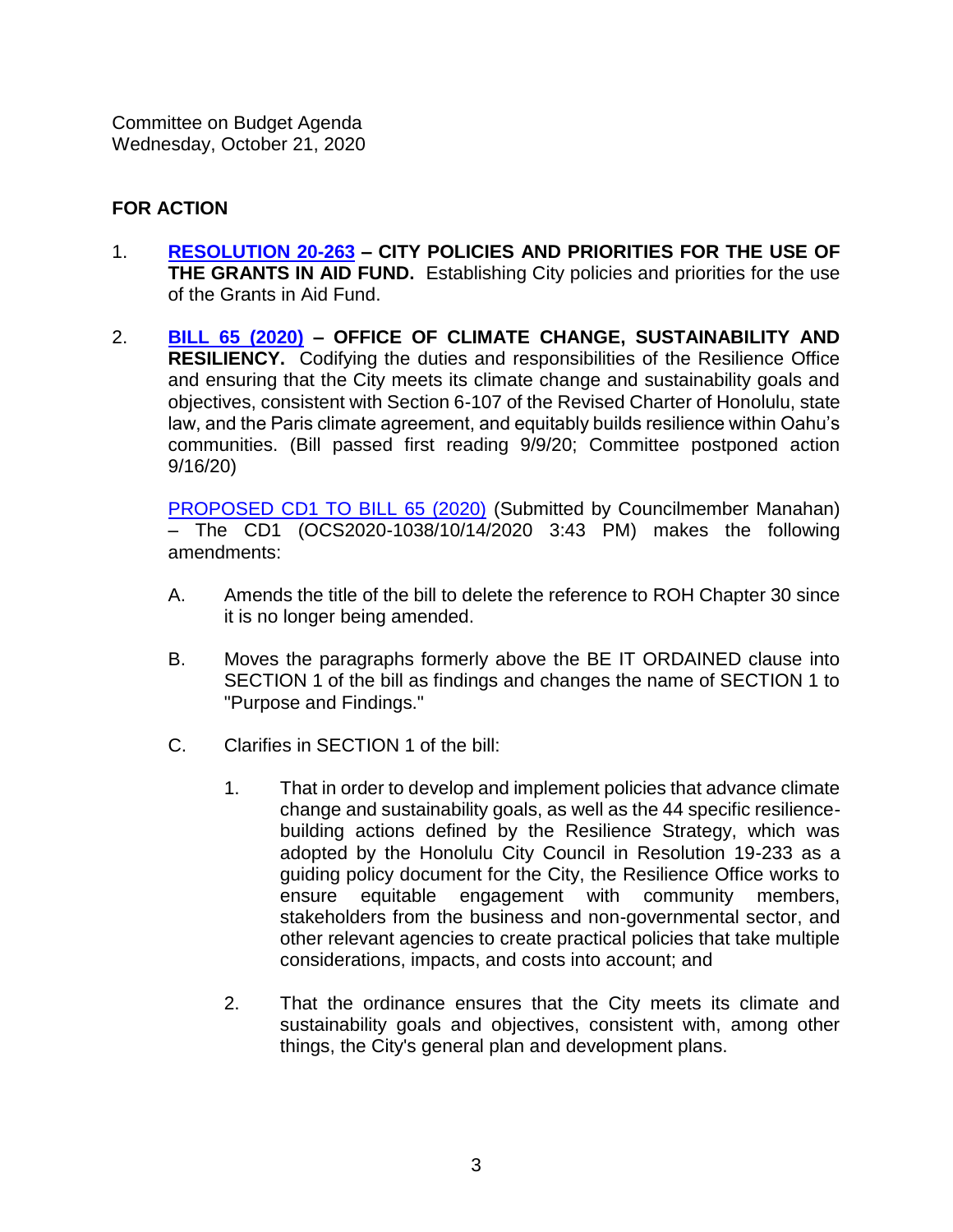## **FOR ACTION**

- 1. **[RESOLUTION 20-263](https://hnldoc.ehawaii.gov/hnldoc/document-download?id=8132) – CITY POLICIES AND PRIORITIES FOR THE USE OF THE GRANTS IN AID FUND.** Establishing City policies and priorities for the use of the Grants in Aid Fund.
- 2. **[BILL 65 \(2020\)](https://hnldoc.ehawaii.gov/hnldoc/document-download?id=7668) – OFFICE OF CLIMATE CHANGE, SUSTAINABILITY AND RESILIENCY.** Codifying the duties and responsibilities of the Resilience Office and ensuring that the City meets its climate change and sustainability goals and objectives, consistent with Section 6-107 of the Revised Charter of Honolulu, state law, and the Paris climate agreement, and equitably builds resilience within Oahu's communities. (Bill passed first reading 9/9/20; Committee postponed action 9/16/20)

[PROPOSED CD1 TO BILL 65 \(2020\)](https://hnldoc.ehawaii.gov/hnldoc/document-download?id=8165) (Submitted by Councilmember Manahan) – The CD1 (OCS2020-1038/10/14/2020 3:43 PM) makes the following amendments:

- A. Amends the title of the bill to delete the reference to ROH Chapter 30 since it is no longer being amended.
- B. Moves the paragraphs formerly above the BE IT ORDAINED clause into SECTION 1 of the bill as findings and changes the name of SECTION 1 to "Purpose and Findings."
- C. Clarifies in SECTION 1 of the bill:
	- 1. That in order to develop and implement policies that advance climate change and sustainability goals, as well as the 44 specific resiliencebuilding actions defined by the Resilience Strategy, which was adopted by the Honolulu City Council in Resolution 19-233 as a guiding policy document for the City, the Resilience Office works to ensure equitable engagement with community members, stakeholders from the business and non-governmental sector, and other relevant agencies to create practical policies that take multiple considerations, impacts, and costs into account; and
	- 2. That the ordinance ensures that the City meets its climate and sustainability goals and objectives, consistent with, among other things, the City's general plan and development plans.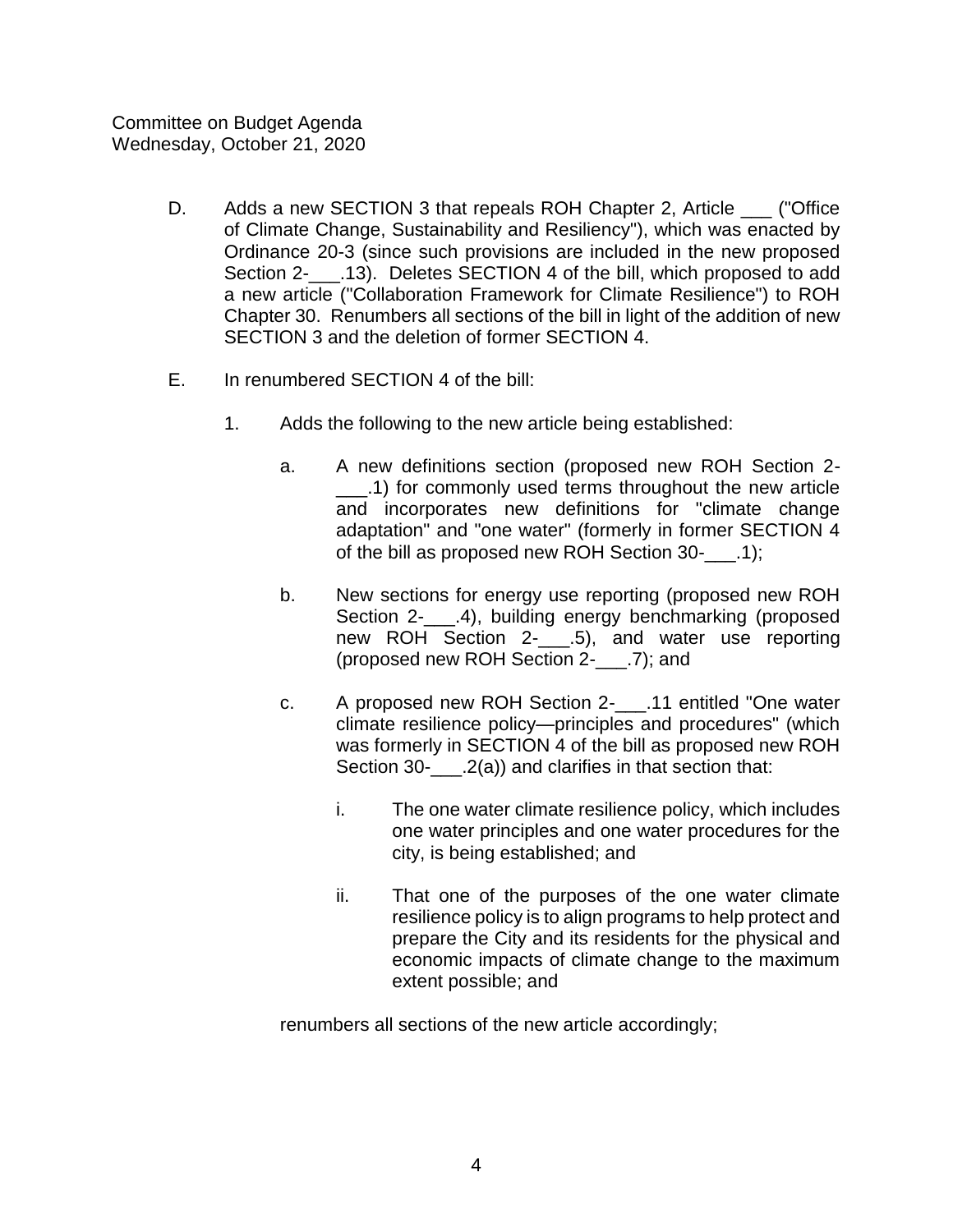- D. Adds a new SECTION 3 that repeals ROH Chapter 2, Article ("Office of Climate Change, Sustainability and Resiliency"), which was enacted by Ordinance 20-3 (since such provisions are included in the new proposed Section 2-\_\_\_.13). Deletes SECTION 4 of the bill, which proposed to add a new article ("Collaboration Framework for Climate Resilience") to ROH Chapter 30. Renumbers all sections of the bill in light of the addition of new SECTION 3 and the deletion of former SECTION 4.
- E. In renumbered SECTION 4 of the bill:
	- 1. Adds the following to the new article being established:
		- a. A new definitions section (proposed new ROH Section 2- \_\_\_.1) for commonly used terms throughout the new article and incorporates new definitions for "climate change adaptation" and "one water" (formerly in former SECTION 4 of the bill as proposed new ROH Section 30-\_\_\_.1);
		- b. New sections for energy use reporting (proposed new ROH Section 2- .4), building energy benchmarking (proposed new ROH Section 2-\_\_\_\_.5), and water use reporting (proposed new ROH Section 2-\_\_\_.7); and
		- c. A proposed new ROH Section 2-\_\_\_.11 entitled "One water climate resilience policy—principles and procedures" (which was formerly in SECTION 4 of the bill as proposed new ROH Section 30-  $(2(a))$  and clarifies in that section that:
			- i. The one water climate resilience policy, which includes one water principles and one water procedures for the city, is being established; and
			- ii. That one of the purposes of the one water climate resilience policy is to align programs to help protect and prepare the City and its residents for the physical and economic impacts of climate change to the maximum extent possible; and

renumbers all sections of the new article accordingly;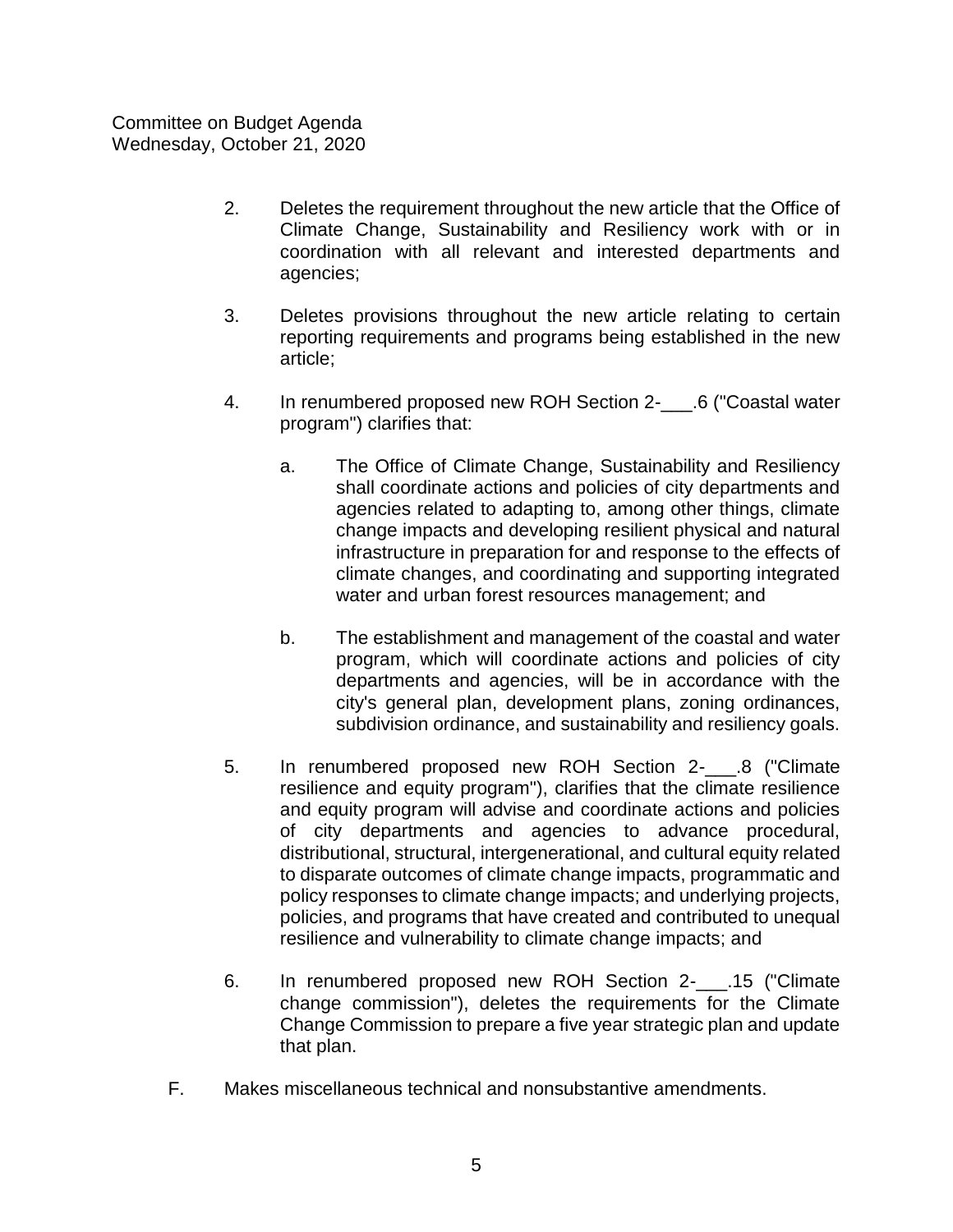- 2. Deletes the requirement throughout the new article that the Office of Climate Change, Sustainability and Resiliency work with or in coordination with all relevant and interested departments and agencies;
- 3. Deletes provisions throughout the new article relating to certain reporting requirements and programs being established in the new article;
- 4. In renumbered proposed new ROH Section 2- .6 ("Coastal water program") clarifies that:
	- a. The Office of Climate Change, Sustainability and Resiliency shall coordinate actions and policies of city departments and agencies related to adapting to, among other things, climate change impacts and developing resilient physical and natural infrastructure in preparation for and response to the effects of climate changes, and coordinating and supporting integrated water and urban forest resources management; and
	- b. The establishment and management of the coastal and water program, which will coordinate actions and policies of city departments and agencies, will be in accordance with the city's general plan, development plans, zoning ordinances, subdivision ordinance, and sustainability and resiliency goals.
- 5. In renumbered proposed new ROH Section 2- .8 ("Climate resilience and equity program"), clarifies that the climate resilience and equity program will advise and coordinate actions and policies of city departments and agencies to advance procedural, distributional, structural, intergenerational, and cultural equity related to disparate outcomes of climate change impacts, programmatic and policy responses to climate change impacts; and underlying projects, policies, and programs that have created and contributed to unequal resilience and vulnerability to climate change impacts; and
- 6. In renumbered proposed new ROH Section 2-\_\_\_.15 ("Climate change commission"), deletes the requirements for the Climate Change Commission to prepare a five year strategic plan and update that plan.
- F. Makes miscellaneous technical and nonsubstantive amendments.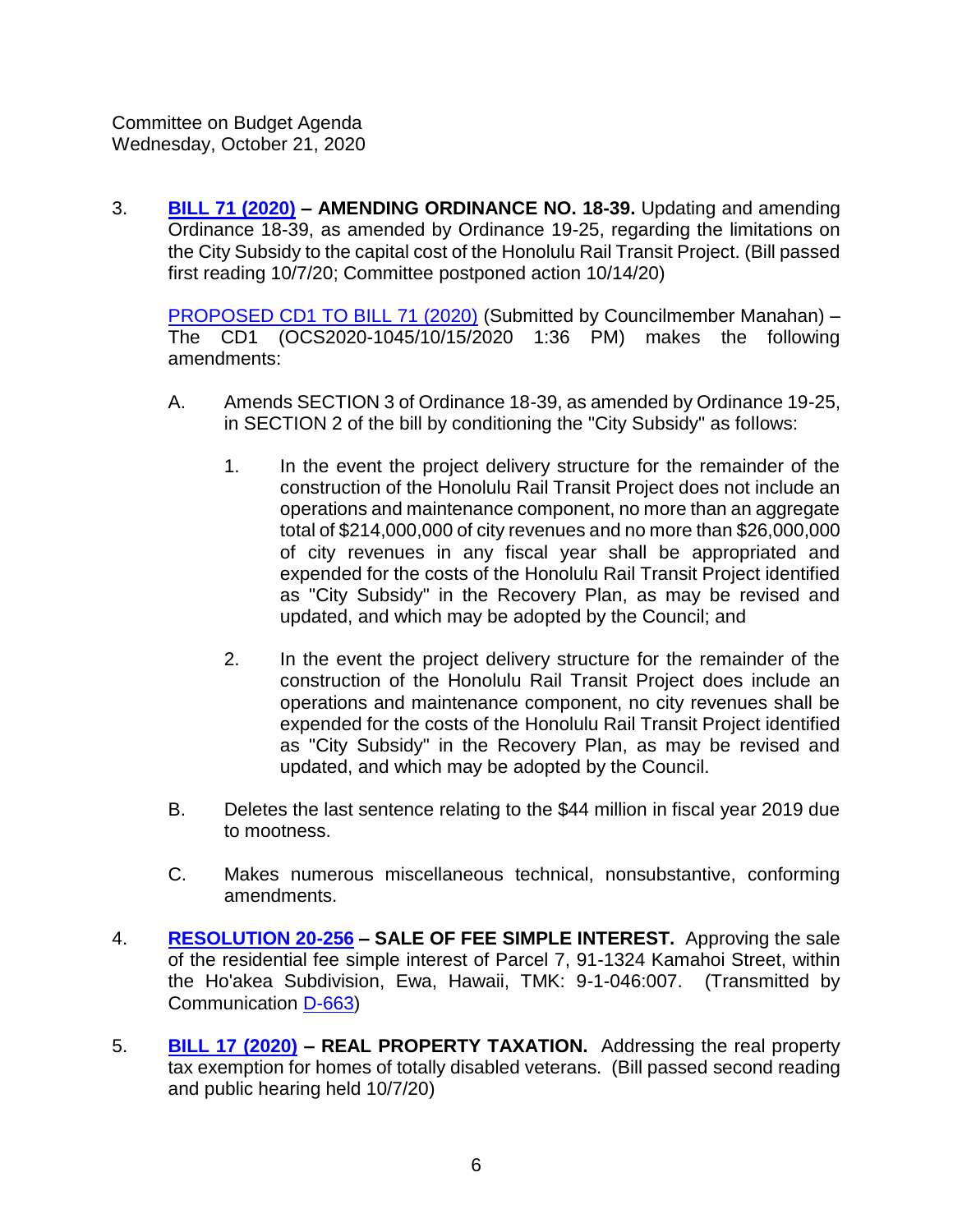3. **[BILL 71 \(2020\)](https://hnldoc.ehawaii.gov/hnldoc/document-download?id=7966) – AMENDING ORDINANCE NO. 18-39.** Updating and amending Ordinance 18-39, as amended by Ordinance 19-25, regarding the limitations on the City Subsidy to the capital cost of the Honolulu Rail Transit Project. (Bill passed first reading 10/7/20; Committee postponed action 10/14/20)

[PROPOSED CD1 TO BILL 71 \(2020\)](https://hnldoc.ehawaii.gov/hnldoc/document-download?id=8149) (Submitted by Councilmember Manahan) – The CD1 (OCS2020-1045/10/15/2020 1:36 PM) makes the following amendments:

- A. Amends SECTION 3 of Ordinance 18-39, as amended by Ordinance 19-25, in SECTION 2 of the bill by conditioning the "City Subsidy" as follows:
	- 1. In the event the project delivery structure for the remainder of the construction of the Honolulu Rail Transit Project does not include an operations and maintenance component, no more than an aggregate total of \$214,000,000 of city revenues and no more than \$26,000,000 of city revenues in any fiscal year shall be appropriated and expended for the costs of the Honolulu Rail Transit Project identified as "City Subsidy" in the Recovery Plan, as may be revised and updated, and which may be adopted by the Council; and
	- 2. In the event the project delivery structure for the remainder of the construction of the Honolulu Rail Transit Project does include an operations and maintenance component, no city revenues shall be expended for the costs of the Honolulu Rail Transit Project identified as "City Subsidy" in the Recovery Plan, as may be revised and updated, and which may be adopted by the Council.
- B. Deletes the last sentence relating to the \$44 million in fiscal year 2019 due to mootness.
- C. Makes numerous miscellaneous technical, nonsubstantive, conforming amendments.
- 4. **[RESOLUTION 20-256](https://hnldoc.ehawaii.gov/hnldoc/document-download?id=8109) – SALE OF FEE SIMPLE INTEREST.** Approving the sale of the residential fee simple interest of Parcel 7, 91-1324 Kamahoi Street, within the Ho'akea Subdivision, Ewa, Hawaii, TMK: 9-1-046:007. (Transmitted by Communication [D-663\)](https://hnldoc.ehawaii.gov/hnldoc/document-download?id=8100)
- 5. **[BILL 17 \(2020\)](https://hnldoc.ehawaii.gov/hnldoc/document-download?id=5781) – REAL PROPERTY TAXATION.** Addressing the real property tax exemption for homes of totally disabled veterans. (Bill passed second reading and public hearing held 10/7/20)